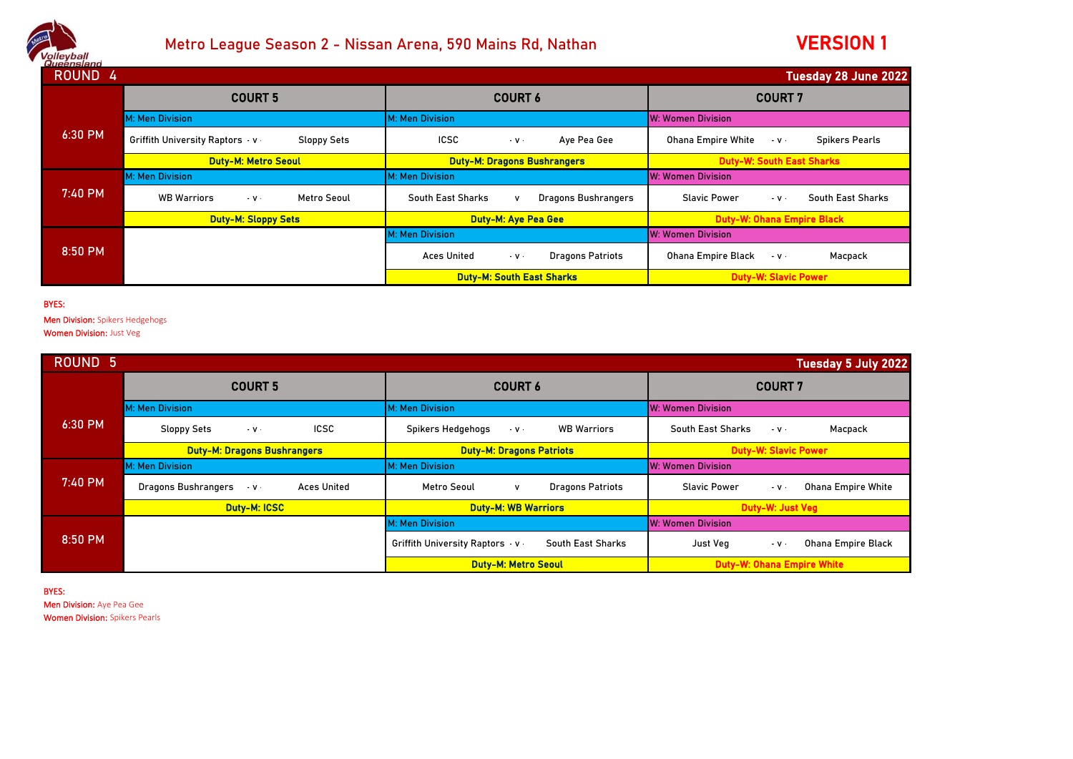

## Metro League Season 2 - Nissan Arena, 590 Mains Rd, Nathan

## VERSION 1

| - шааныстан<br>ROUND <sub>4</sub><br><b>Tuesday 28 June 2022</b> |                                                            |                                                                    |                                                                         |  |
|------------------------------------------------------------------|------------------------------------------------------------|--------------------------------------------------------------------|-------------------------------------------------------------------------|--|
|                                                                  | <b>COURT 5</b>                                             | <b>COURT 6</b>                                                     | <b>COURT 7</b>                                                          |  |
|                                                                  | M: Men Division                                            | M: Men Division                                                    | <b>W: Women Division</b>                                                |  |
| 6:30 PM                                                          | <b>Griffith University Raptors v</b><br><b>Sloppy Sets</b> | <b>ICSC</b><br>Aye Pea Gee<br>$-V$                                 | <b>Ohana Empire White</b><br><b>Spikers Pearls</b><br>$\cdot$ V $\cdot$ |  |
|                                                                  | <b>Duty-M: Metro Seoul</b>                                 | <b>Duty-M: Dragons Bushrangers</b>                                 | <b>Duty-W: South East Sharks</b>                                        |  |
|                                                                  | M: Men Division                                            | M: Men Division                                                    | <b>W: Women Division</b>                                                |  |
| 7:40 PM                                                          | <b>WB Warriors</b><br>Metro Seoul<br>$\cdot$ v $\cdot$     | South East Sharks<br><b>Dragons Bushrangers</b>                    | <b>Slavic Power</b><br>South East Sharks<br>$-V$ .                      |  |
|                                                                  | <b>Duty-M: Sloppy Sets</b>                                 | <b>Duty-M: Aye Pea Gee</b>                                         | <b>Duty-W: Ohana Empire Black</b>                                       |  |
| 8:50 PM                                                          |                                                            | M: Men Division                                                    | <b>W: Women Division</b>                                                |  |
|                                                                  |                                                            | <b>Aces United</b><br><b>Dragons Patriots</b><br>$\cdot$ V $\cdot$ | <b>Ohana Empire Black</b><br>Macpack<br>$-V$ .                          |  |
|                                                                  |                                                            | <b>Duty-M: South East Sharks</b>                                   | <b>Duty-W: Slavic Power</b>                                             |  |

## BYES:

Men Division: Spikers Hedgehogs

Women Division: Just Veg

| <b>ROUND 5</b><br><b>Tuesday 5 July 2022</b> |                                                                       |                                                              |                                                                   |  |
|----------------------------------------------|-----------------------------------------------------------------------|--------------------------------------------------------------|-------------------------------------------------------------------|--|
|                                              | <b>COURT 5</b>                                                        | <b>COURT 6</b>                                               | <b>COURT 7</b>                                                    |  |
|                                              | M: Men Division                                                       | M: Men Division                                              | W: Women Division                                                 |  |
| $6:30$ PM                                    | <b>ICSC</b><br><b>Sloppy Sets</b><br>$\cdot$ V $\cdot$                | Spikers Hedgehogs<br><b>WB Warriors</b><br>$\cdot$ V $\cdot$ | South East Sharks<br>Macpack<br>$-V$ .                            |  |
|                                              | <b>Duty-M: Dragons Bushrangers</b>                                    | <b>Duty-M: Dragons Patriots</b>                              | <b>Duty-W: Slavic Power</b>                                       |  |
|                                              | <b>M: Men Division</b>                                                | M: Men Division                                              | <b>W: Women Division</b>                                          |  |
| $7:40$ PM                                    | <b>Dragons Bushrangers</b><br><b>Aces United</b><br>$\cdot$ V $\cdot$ | Metro Seoul<br><b>Dragons Patriots</b><br>v                  | <b>Slavic Power</b><br><b>Ohana Empire White</b><br>$-$ V $\cdot$ |  |
|                                              | <b>Duty-M: ICSC</b>                                                   | <b>Duty-M: WB Warriors</b>                                   | Duty-W: Just Veg                                                  |  |
| 8:50 PM                                      |                                                                       | M: Men Division                                              | <b>W: Women Division</b>                                          |  |
|                                              |                                                                       | <b>Griffith University Raptors v</b><br>South East Sharks    | <b>Ohana Empire Black</b><br>Just Veg<br>$-$ V $\cdot$            |  |
|                                              |                                                                       | <b>Duty-M: Metro Seoul</b>                                   | <b>Duty-W: Ohana Empire White</b>                                 |  |

BYES: Men Division: Aye Pea Gee Women Division: Spikers Pearls